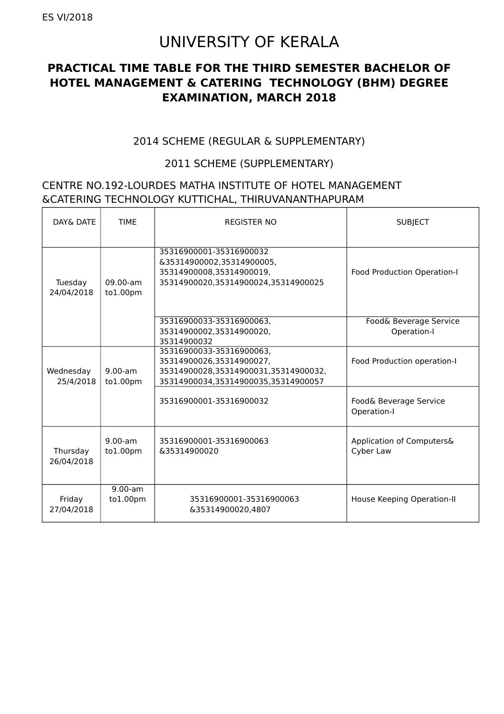# UNIVERSITY OF KERALA

### **PRACTICAL TIME TABLE FOR THE THIRD SEMESTER BACHELOR OF HOTEL MANAGEMENT & CATERING TECHNOLOGY (BHM) DEGREE EXAMINATION, MARCH 2018**

#### 2014 SCHEME (REGULAR & SUPPLEMENTARY)

#### 2011 SCHEME (SUPPLEMENTARY)

#### CENTRE NO.192-LOURDES MATHA INSTITUTE OF HOTEL MANAGEMENT &CATERING TECHNOLOGY KUTTICHAL, THIRUVANANTHAPURAM

| DAY& DATF              | <b>TIMF</b>                         | <b>REGISTER NO</b>                                                                                                                  | <b>SUBJECT</b>                         |
|------------------------|-------------------------------------|-------------------------------------------------------------------------------------------------------------------------------------|----------------------------------------|
| Tuesday<br>24/04/2018  | 09.00-am<br>to 1.00 <sub>pm</sub>   | 35316900001-35316900032<br>&35314900002,35314900005,<br>35314900008,35314900019,<br>35314900020,35314900024,35314900025             | Food Production Operation-I            |
|                        |                                     | 35316900033-35316900063,<br>35314900002,35314900020,<br>35314900032                                                                 | Food& Beverage Service<br>Operation-I  |
| Wednesday<br>25/4/2018 | $9.00$ -am<br>to 1.00 <sub>pm</sub> | 35316900033-35316900063,<br>35314900026,35314900027,<br>35314900028,35314900031,35314900032,<br>35314900034,35314900035,35314900057 | Food Production operation-I            |
|                        |                                     | 35316900001-35316900032                                                                                                             | Food& Beverage Service<br>Operation-I  |
| Thursday<br>26/04/2018 | $9.00-am$<br>to 1.00 <sub>pm</sub>  | 35316900001-35316900063<br>&35314900020                                                                                             | Application of Computers&<br>Cyber Law |
| Friday<br>27/04/2018   | $9.00-am$<br>to 1.00 <sub>pm</sub>  | 35316900001-35316900063<br>&35314900020,4807                                                                                        | House Keeping Operation-II             |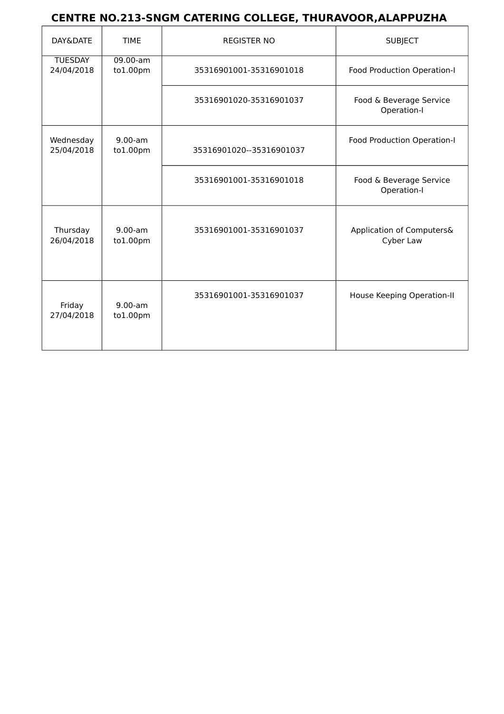## **CENTRE NO.213-SNGM CATERING COLLEGE, THURAVOOR,ALAPPUZHA**

| DAY&DATE                     | <b>TIME</b>                        | <b>REGISTER NO</b>       | <b>SUBJECT</b>                         |
|------------------------------|------------------------------------|--------------------------|----------------------------------------|
| <b>TUESDAY</b><br>24/04/2018 | $09.00-am$<br>to1.00pm             | 35316901001-35316901018  | Food Production Operation-I            |
|                              |                                    | 35316901020-35316901037  | Food & Beverage Service<br>Operation-I |
| Wednesday<br>25/04/2018      | $9.00-am$<br>to1.00pm              | 35316901020--35316901037 | Food Production Operation-I            |
|                              |                                    | 35316901001-35316901018  | Food & Beverage Service<br>Operation-I |
| Thursday<br>26/04/2018       | $9.00-am$<br>to 1.00 <sub>pm</sub> | 35316901001-35316901037  | Application of Computers&<br>Cyber Law |
| Friday<br>27/04/2018         | $9.00-am$<br>to 1.00 <sub>pm</sub> | 35316901001-35316901037  | House Keeping Operation-II             |